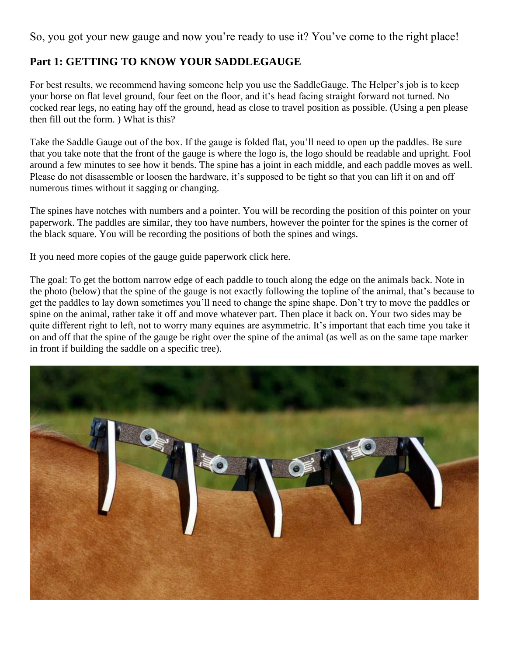### So, you got your new gauge and now you're ready to use it? You've come to the right place!

# **Part 1: GETTING TO KNOW YOUR SADDLEGAUGE**

For best results, we recommend having someone help you use the SaddleGauge. The Helper's job is to keep your horse on flat level ground, four feet on the floor, and it's head facing straight forward not turned. No cocked rear legs, no eating hay off the ground, head as close to travel position as possible. (Using a pen please then fill out the form. ) What is this?

Take the Saddle Gauge out of the box. If the gauge is folded flat, you'll need to open up the paddles. Be sure that you take note that the front of the gauge is where the logo is, the logo should be readable and upright. Fool around a few minutes to see how it bends. The spine has a joint in each middle, and each paddle moves as well. Please do not disassemble or loosen the hardware, it's supposed to be tight so that you can lift it on and off numerous times without it sagging or changing.

The spines have notches with numbers and a pointer. You will be recording the position of this pointer on your paperwork. The paddles are similar, they too have numbers, however the pointer for the spines is the corner of the black square. You will be recording the positions of both the spines and wings.

If you need more copies of the gauge guide paperwork click here.

The goal: To get the bottom narrow edge of each paddle to touch along the edge on the animals back. Note in the photo (below) that the spine of the gauge is not exactly following the topline of the animal, that's because to get the paddles to lay down sometimes you'll need to change the spine shape. Don't try to move the paddles or spine on the animal, rather take it off and move whatever part. Then place it back on. Your two sides may be quite different right to left, not to worry many equines are asymmetric. It's important that each time you take it on and off that the spine of the gauge be right over the spine of the animal (as well as on the same tape marker in front if building the saddle on a specific tree).

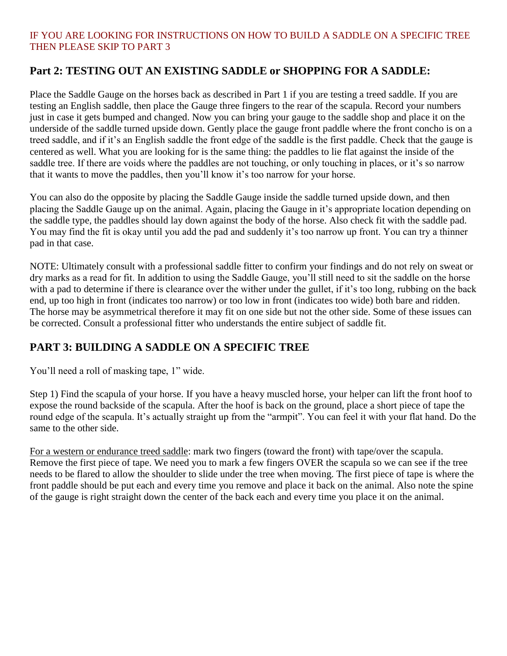#### IF YOU ARE LOOKING FOR INSTRUCTIONS ON HOW TO BUILD A SADDLE ON A SPECIFIC TREE THEN PLEASE SKIP TO PART 3

### **Part 2: TESTING OUT AN EXISTING SADDLE or SHOPPING FOR A SADDLE:**

Place the Saddle Gauge on the horses back as described in Part 1 if you are testing a treed saddle. If you are testing an English saddle, then place the Gauge three fingers to the rear of the scapula. Record your numbers just in case it gets bumped and changed. Now you can bring your gauge to the saddle shop and place it on the underside of the saddle turned upside down. Gently place the gauge front paddle where the front concho is on a treed saddle, and if it's an English saddle the front edge of the saddle is the first paddle. Check that the gauge is centered as well. What you are looking for is the same thing: the paddles to lie flat against the inside of the saddle tree. If there are voids where the paddles are not touching, or only touching in places, or it's so narrow that it wants to move the paddles, then you'll know it's too narrow for your horse.

You can also do the opposite by placing the Saddle Gauge inside the saddle turned upside down, and then placing the Saddle Gauge up on the animal. Again, placing the Gauge in it's appropriate location depending on the saddle type, the paddles should lay down against the body of the horse. Also check fit with the saddle pad. You may find the fit is okay until you add the pad and suddenly it's too narrow up front. You can try a thinner pad in that case.

NOTE: Ultimately consult with a professional saddle fitter to confirm your findings and do not rely on sweat or dry marks as a read for fit. In addition to using the Saddle Gauge, you'll still need to sit the saddle on the horse with a pad to determine if there is clearance over the wither under the gullet, if it's too long, rubbing on the back end, up too high in front (indicates too narrow) or too low in front (indicates too wide) both bare and ridden. The horse may be asymmetrical therefore it may fit on one side but not the other side. Some of these issues can be corrected. Consult a professional fitter who understands the entire subject of saddle fit.

# **PART 3: BUILDING A SADDLE ON A SPECIFIC TREE**

You'll need a roll of masking tape, 1" wide.

Step 1) Find the scapula of your horse. If you have a heavy muscled horse, your helper can lift the front hoof to expose the round backside of the scapula. After the hoof is back on the ground, place a short piece of tape the round edge of the scapula. It's actually straight up from the "armpit". You can feel it with your flat hand. Do the same to the other side.

For a western or endurance treed saddle: mark two fingers (toward the front) with tape/over the scapula. Remove the first piece of tape. We need you to mark a few fingers OVER the scapula so we can see if the tree needs to be flared to allow the shoulder to slide under the tree when moving. The first piece of tape is where the front paddle should be put each and every time you remove and place it back on the animal. Also note the spine of the gauge is right straight down the center of the back each and every time you place it on the animal.